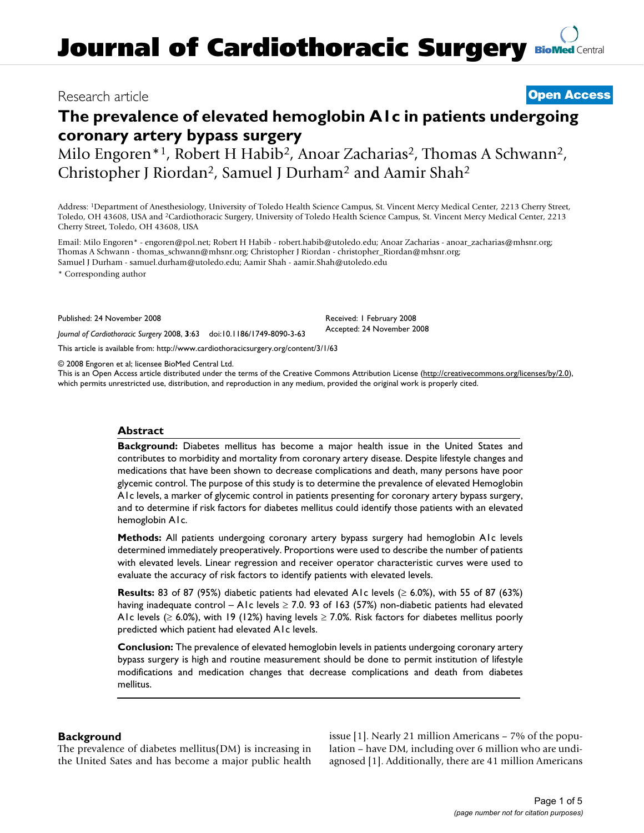# Research article **[Open Access](http://www.biomedcentral.com/info/about/charter/)**

# **The prevalence of elevated hemoglobin A1c in patients undergoing coronary artery bypass surgery**

Milo Engoren<sup>\*1</sup>, Robert H Habib<sup>2</sup>, Anoar Zacharias<sup>2</sup>, Thomas A Schwann<sup>2</sup>, Christopher J Riordan2, Samuel J Durham2 and Aamir Shah2

Address: 1Department of Anesthesiology, University of Toledo Health Science Campus, St. Vincent Mercy Medical Center, 2213 Cherry Street, Toledo, OH 43608, USA and 2Cardiothoracic Surgery, University of Toledo Health Science Campus, St. Vincent Mercy Medical Center, 2213 Cherry Street, Toledo, OH 43608, USA

Email: Milo Engoren\* - engoren@pol.net; Robert H Habib - robert.habib@utoledo.edu; Anoar Zacharias - anoar\_zacharias@mhsnr.org; Thomas A Schwann - thomas\_schwann@mhsnr.org; Christopher J Riordan - christopher\_Riordan@mhsnr.org; Samuel J Durham - samuel.durham@utoledo.edu; Aamir Shah - aamir.Shah@utoledo.edu

\* Corresponding author

Published: 24 November 2008

*Journal of Cardiothoracic Surgery* 2008, **3**:63 doi:10.1186/1749-8090-3-63

[This article is available from: http://www.cardiothoracicsurgery.org/content/3/1/63](http://www.cardiothoracicsurgery.org/content/3/1/63)

© 2008 Engoren et al; licensee BioMed Central Ltd.

This is an Open Access article distributed under the terms of the Creative Commons Attribution License [\(http://creativecommons.org/licenses/by/2.0\)](http://creativecommons.org/licenses/by/2.0), which permits unrestricted use, distribution, and reproduction in any medium, provided the original work is properly cited.

Received: 1 February 2008 Accepted: 24 November 2008

#### **Abstract**

**Background:** Diabetes mellitus has become a major health issue in the United States and contributes to morbidity and mortality from coronary artery disease. Despite lifestyle changes and medications that have been shown to decrease complications and death, many persons have poor glycemic control. The purpose of this study is to determine the prevalence of elevated Hemoglobin A1c levels, a marker of glycemic control in patients presenting for coronary artery bypass surgery, and to determine if risk factors for diabetes mellitus could identify those patients with an elevated hemoglobin A1c.

**Methods:** All patients undergoing coronary artery bypass surgery had hemoglobin A1c levels determined immediately preoperatively. Proportions were used to describe the number of patients with elevated levels. Linear regression and receiver operator characteristic curves were used to evaluate the accuracy of risk factors to identify patients with elevated levels.

**Results:** 83 of 87 (95%) diabetic patients had elevated A1c levels ( $\geq$  6.0%), with 55 of 87 (63%) having inadequate control – A1c levels  $\geq$  7.0. 93 of 163 (57%) non-diabetic patients had elevated A1c levels ( $\geq 6.0\%$ ), with 19 (12%) having levels  $\geq 7.0\%$ . Risk factors for diabetes mellitus poorly predicted which patient had elevated A1c levels.

**Conclusion:** The prevalence of elevated hemoglobin levels in patients undergoing coronary artery bypass surgery is high and routine measurement should be done to permit institution of lifestyle modifications and medication changes that decrease complications and death from diabetes mellitus.

# **Background**

The prevalence of diabetes mellitus(DM) is increasing in the United Sates and has become a major public health issue [1]. Nearly 21 million Americans – 7% of the population – have DM, including over 6 million who are undiagnosed [1]. Additionally, there are 41 million Americans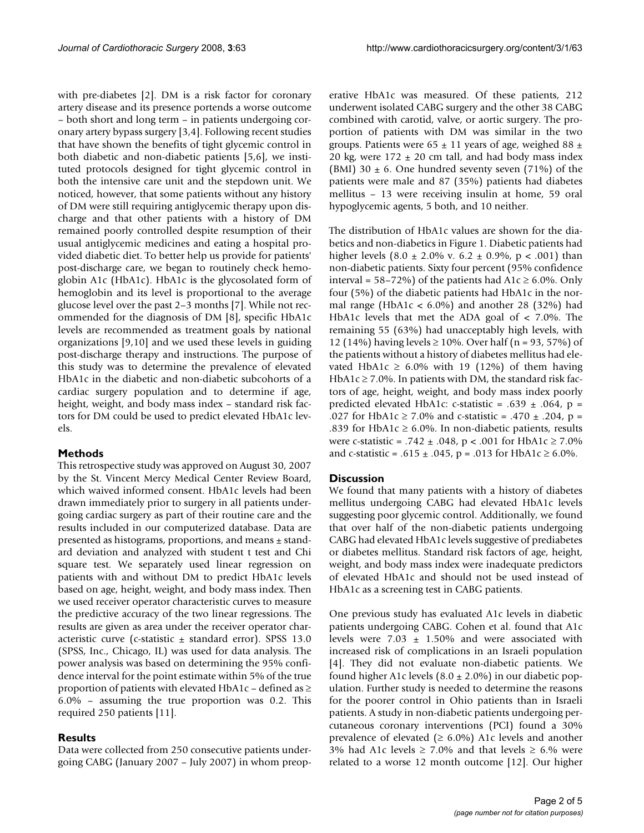with pre-diabetes [2]. DM is a risk factor for coronary artery disease and its presence portends a worse outcome – both short and long term – in patients undergoing coronary artery bypass surgery [3,4]. Following recent studies that have shown the benefits of tight glycemic control in both diabetic and non-diabetic patients [5,6], we instituted protocols designed for tight glycemic control in both the intensive care unit and the stepdown unit. We noticed, however, that some patients without any history of DM were still requiring antiglycemic therapy upon discharge and that other patients with a history of DM remained poorly controlled despite resumption of their usual antiglycemic medicines and eating a hospital provided diabetic diet. To better help us provide for patients' post-discharge care, we began to routinely check hemoglobin A1c (HbA1c). HbA1c is the glycosolated form of hemoglobin and its level is proportional to the average glucose level over the past 2–3 months [7]. While not recommended for the diagnosis of DM [8], specific HbA1c levels are recommended as treatment goals by national organizations [9,10] and we used these levels in guiding post-discharge therapy and instructions. The purpose of this study was to determine the prevalence of elevated HbA1c in the diabetic and non-diabetic subcohorts of a cardiac surgery population and to determine if age, height, weight, and body mass index – standard risk factors for DM could be used to predict elevated HbA1c levels.

#### **Methods**

This retrospective study was approved on August 30, 2007 by the St. Vincent Mercy Medical Center Review Board, which waived informed consent. HbA1c levels had been drawn immediately prior to surgery in all patients undergoing cardiac surgery as part of their routine care and the results included in our computerized database. Data are presented as histograms, proportions, and means ± standard deviation and analyzed with student t test and Chi square test. We separately used linear regression on patients with and without DM to predict HbA1c levels based on age, height, weight, and body mass index. Then we used receiver operator characteristic curves to measure the predictive accuracy of the two linear regressions. The results are given as area under the receiver operator characteristic curve (c-statistic  $\pm$  standard error). SPSS 13.0 (SPSS, Inc., Chicago, IL) was used for data analysis. The power analysis was based on determining the 95% confidence interval for the point estimate within 5% of the true proportion of patients with elevated HbA1c – defined as  $\geq$ 6.0% – assuming the true proportion was 0.2. This required 250 patients [11].

#### **Results**

Data were collected from 250 consecutive patients undergoing CABG (January 2007 – July 2007) in whom preoperative HbA1c was measured. Of these patients, 212 underwent isolated CABG surgery and the other 38 CABG combined with carotid, valve, or aortic surgery. The proportion of patients with DM was similar in the two groups. Patients were 65  $\pm$  11 years of age, weighed 88  $\pm$ 20 kg, were  $172 \pm 20$  cm tall, and had body mass index (BMI) 30  $\pm$  6. One hundred seventy seven (71%) of the patients were male and 87 (35%) patients had diabetes mellitus – 13 were receiving insulin at home, 59 oral hypoglycemic agents, 5 both, and 10 neither.

The distribution of HbA1c values are shown for the diabetics and non-diabetics in Figure 1. Diabetic patients had higher levels  $(8.0 \pm 2.0\% \text{ v. } 6.2 \pm 0.9\% \text{, } \text{p} < .001)$  than non-diabetic patients. Sixty four percent (95% confidence interval = 58–72%) of the patients had  $A1c \ge 6.0$ %. Only four (5%) of the diabetic patients had HbA1c in the normal range (HbA1c <  $6.0\%$ ) and another 28 (32%) had HbA1c levels that met the ADA goal of < 7.0%. The remaining 55 (63%) had unacceptably high levels, with 12 (14%) having levels ≥ 10%. Over half (n = 93, 57%) of the patients without a history of diabetes mellitus had elevated HbA1c  $\geq$  6.0% with 19 (12%) of them having HbA1c  $\geq$  7.0%. In patients with DM, the standard risk factors of age, height, weight, and body mass index poorly predicted elevated HbA1c: c-statistic = .639  $\pm$  .064, p = .027 for HbA1c  $\geq$  7.0% and c-statistic = .470  $\pm$  .204, p = .839 for HbA1c  $\geq$  6.0%. In non-diabetic patients, results were c-statistic = .742  $\pm$  .048, p < .001 for HbA1c  $\geq$  7.0% and c-statistic = .615  $\pm$  .045, p = .013 for HbA1c  $\geq$  6.0%.

#### **Discussion**

We found that many patients with a history of diabetes mellitus undergoing CABG had elevated HbA1c levels suggesting poor glycemic control. Additionally, we found that over half of the non-diabetic patients undergoing CABG had elevated HbA1c levels suggestive of prediabetes or diabetes mellitus. Standard risk factors of age, height, weight, and body mass index were inadequate predictors of elevated HbA1c and should not be used instead of HbA1c as a screening test in CABG patients.

One previous study has evaluated A1c levels in diabetic patients undergoing CABG. Cohen et al. found that A1c levels were  $7.03 \pm 1.50\%$  and were associated with increased risk of complications in an Israeli population [4]. They did not evaluate non-diabetic patients. We found higher A1c levels  $(8.0 \pm 2.0\%)$  in our diabetic population. Further study is needed to determine the reasons for the poorer control in Ohio patients than in Israeli patients. A study in non-diabetic patients undergoing percutaneous coronary interventions (PCI) found a 30% prevalence of elevated ( $\geq 6.0\%$ ) A1c levels and another 3% had A1c levels  $\geq 7.0$ % and that levels  $\geq 6.$ % were related to a worse 12 month outcome [12]. Our higher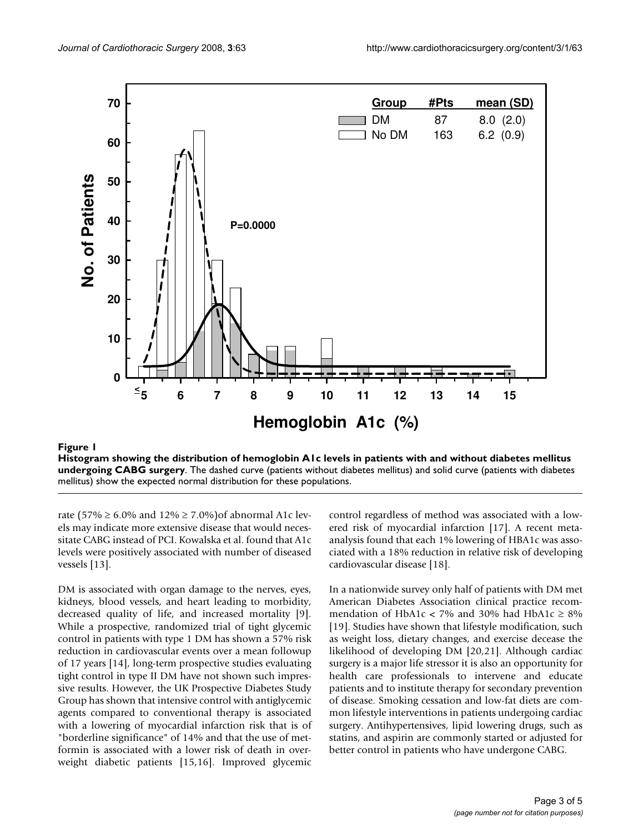

## **Histogram showing the distribution of hemoglobin A1c levels in patients with and without diabetes mellitus undergoing CABG surgery**. The dashed curve (patients without diabetes mellitus) and solid curve (patients with diabetes mellitus) show the expected normal distribution for these populations.

rate (57% ≥ 6.0% and 12% ≥ 7.0%)of abnormal A1c levels may indicate more extensive disease that would necessitate CABG instead of PCI. Kowalska et al. found that A1c levels were positively associated with number of diseased vessels [13].

DM is associated with organ damage to the nerves, eyes, kidneys, blood vessels, and heart leading to morbidity, decreased quality of life, and increased mortality [9]. While a prospective, randomized trial of tight glycemic control in patients with type 1 DM has shown a 57% risk reduction in cardiovascular events over a mean followup of 17 years [14], long-term prospective studies evaluating tight control in type II DM have not shown such impressive results. However, the UK Prospective Diabetes Study Group has shown that intensive control with antiglycemic agents compared to conventional therapy is associated with a lowering of myocardial infarction risk that is of "borderline significance" of 14% and that the use of metformin is associated with a lower risk of death in overweight diabetic patients [15,16]. Improved glycemic control regardless of method was associated with a lowered risk of myocardial infarction [17]. A recent metaanalysis found that each 1% lowering of HBA1c was associated with a 18% reduction in relative risk of developing cardiovascular disease [18].

In a nationwide survey only half of patients with DM met American Diabetes Association clinical practice recommendation of HbA1c < 7% and 30% had HbA1c  $\geq$  8% [19]. Studies have shown that lifestyle modification, such as weight loss, dietary changes, and exercise decease the likelihood of developing DM [20,21]. Although cardiac surgery is a major life stressor it is also an opportunity for health care professionals to intervene and educate patients and to institute therapy for secondary prevention of disease. Smoking cessation and low-fat diets are common lifestyle interventions in patients undergoing cardiac surgery. Antihypertensives, lipid lowering drugs, such as statins, and aspirin are commonly started or adjusted for better control in patients who have undergone CABG.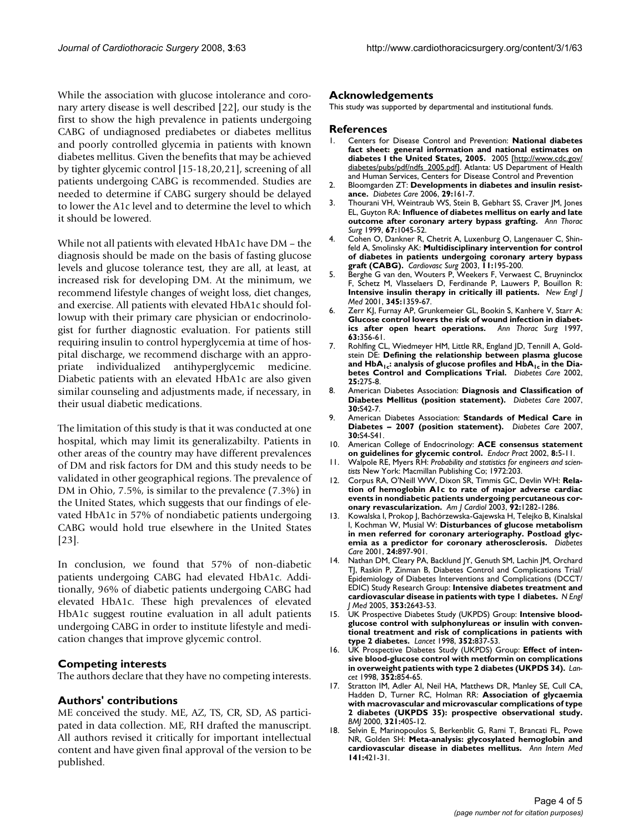While the association with glucose intolerance and coronary artery disease is well described [22], our study is the first to show the high prevalence in patients undergoing CABG of undiagnosed prediabetes or diabetes mellitus and poorly controlled glycemia in patients with known diabetes mellitus. Given the benefits that may be achieved by tighter glycemic control [15-18,20,21], screening of all patients undergoing CABG is recommended. Studies are needed to determine if CABG surgery should be delayed to lower the A1c level and to determine the level to which it should be lowered.

While not all patients with elevated HbA1c have DM – the diagnosis should be made on the basis of fasting glucose levels and glucose tolerance test, they are all, at least, at increased risk for developing DM. At the minimum, we recommend lifestyle changes of weight loss, diet changes, and exercise. All patients with elevated HbA1c should followup with their primary care physician or endocrinologist for further diagnostic evaluation. For patients still requiring insulin to control hyperglycemia at time of hospital discharge, we recommend discharge with an appropriate individualized antihyperglycemic medicine. Diabetic patients with an elevated HbA1c are also given similar counseling and adjustments made, if necessary, in their usual diabetic medications.

The limitation of this study is that it was conducted at one hospital, which may limit its generalizabilty. Patients in other areas of the country may have different prevalences of DM and risk factors for DM and this study needs to be validated in other geographical regions. The prevalence of DM in Ohio, 7.5%, is similar to the prevalence (7.3%) in the United States, which suggests that our findings of elevated HbA1c in 57% of nondiabetic patients undergoing CABG would hold true elsewhere in the United States [23].

In conclusion, we found that 57% of non-diabetic patients undergoing CABG had elevated HbA1c. Additionally, 96% of diabetic patients undergoing CABG had elevated HbA1c. These high prevalences of elevated HbA1c suggest routine evaluation in all adult patients undergoing CABG in order to institute lifestyle and medication changes that improve glycemic control.

# **Competing interests**

The authors declare that they have no competing interests.

# **Authors' contributions**

ME conceived the study. ME, AZ, TS, CR, SD, AS participated in data collection. ME, RH drafted the manuscript. All authors revised it critically for important intellectual content and have given final approval of the version to be published.

## **Acknowledgements**

This study was supported by departmental and institutional funds.

#### **References**

- 1. Centers for Disease Control and Prevention: **National diabetes fact sheet: general information and national estimates on diabetes I the United States, 2005.** 2005 [\[http://www.cdc.gov/](http://www.cdc.gov/diabetes/pubs/pdf/ndfs_2005.pdf) [diabetes/pubs/pdf/ndfs\\_2005.pdf\]](http://www.cdc.gov/diabetes/pubs/pdf/ndfs_2005.pdf). Atlanta: US Department of Health and Human Services, Centers for Disease Control and Prevention
- 2. Bloomgarden ZT: **[Developments in diabetes and insulin resist](http://www.ncbi.nlm.nih.gov/entrez/query.fcgi?cmd=Retrieve&db=PubMed&dopt=Abstract&list_uids=16373919)[ance.](http://www.ncbi.nlm.nih.gov/entrez/query.fcgi?cmd=Retrieve&db=PubMed&dopt=Abstract&list_uids=16373919)** *Diabetes Care* 2006, **29:**161-7.
- 3. Thourani VH, Weintraub WS, Stein B, Gebhart SS, Craver JM, Jones EL, Guyton RA: **[Influence of diabetes mellitus on early and late](http://www.ncbi.nlm.nih.gov/entrez/query.fcgi?cmd=Retrieve&db=PubMed&dopt=Abstract&list_uids=10320249) [outcome after coronary artery bypass grafting.](http://www.ncbi.nlm.nih.gov/entrez/query.fcgi?cmd=Retrieve&db=PubMed&dopt=Abstract&list_uids=10320249)** *Ann Thorac Surg* 1999, **67:**1045-52.
- 4. Cohen O, Dankner R, Chetrit A, Luxenburg O, Langenauer C, Shinfeld A, Smolinsky AK: **[Multidisciplinary intervention for control](http://www.ncbi.nlm.nih.gov/entrez/query.fcgi?cmd=Retrieve&db=PubMed&dopt=Abstract&list_uids=12704328) [of diabetes in patients undergoing coronary artery bypass](http://www.ncbi.nlm.nih.gov/entrez/query.fcgi?cmd=Retrieve&db=PubMed&dopt=Abstract&list_uids=12704328) [graft \(CABG\).](http://www.ncbi.nlm.nih.gov/entrez/query.fcgi?cmd=Retrieve&db=PubMed&dopt=Abstract&list_uids=12704328)** *Cardiovasc Surg* 2003, **11:**195-200.
- 5. Berghe G van den, Wouters P, Weekers F, Verwaest C, Bruyninckx F, Schetz M, Vlasselaers D, Ferdinande P, Lauwers P, Bouillon R: **[Intensive insulin therapy in critically ill patients.](http://www.ncbi.nlm.nih.gov/entrez/query.fcgi?cmd=Retrieve&db=PubMed&dopt=Abstract&list_uids=11794168)** *New Engl J Med* 2001, **345:**1359-67.
- 6. Zerr KJ, Furnay AP, Grunkemeier GL, Bookin S, Kanhere V, Starr A: **[Glucose control lowers the risk of wound infection in diabet](http://www.ncbi.nlm.nih.gov/entrez/query.fcgi?cmd=Retrieve&db=PubMed&dopt=Abstract&list_uids=9033300)[ics after open heart operations.](http://www.ncbi.nlm.nih.gov/entrez/query.fcgi?cmd=Retrieve&db=PubMed&dopt=Abstract&list_uids=9033300)** *Ann Thorac Surg* 1997, **63:**356-61.
- 7. Rohlfing CL, Wiedmeyer HM, Little RR, England JD, Tennill A, Goldstein DE: **Defining the relationship between plasma glucose** and HbA<sub>1c</sub>: analysis of glucose profiles and HbA<sub>1c</sub> [in the Dia](http://www.ncbi.nlm.nih.gov/entrez/query.fcgi?cmd=Retrieve&db=PubMed&dopt=Abstract&list_uids=11815495)**[betes Control and Complications Trial.](http://www.ncbi.nlm.nih.gov/entrez/query.fcgi?cmd=Retrieve&db=PubMed&dopt=Abstract&list_uids=11815495)** *Diabetes Care* 2002, **25:**275-8.
- 8. American Diabetes Association: **[Diagnosis and Classification of](http://www.ncbi.nlm.nih.gov/entrez/query.fcgi?cmd=Retrieve&db=PubMed&dopt=Abstract&list_uids=17192378) [Diabetes Mellitus \(position statement\).](http://www.ncbi.nlm.nih.gov/entrez/query.fcgi?cmd=Retrieve&db=PubMed&dopt=Abstract&list_uids=17192378)** *Diabetes Care* 2007, **30:**S42-7.
- 9. American Diabetes Association: **[Standards of Medical Care in](http://www.ncbi.nlm.nih.gov/entrez/query.fcgi?cmd=Retrieve&db=PubMed&dopt=Abstract&list_uids=17192377) [Diabetes – 2007 \(position statement\).](http://www.ncbi.nlm.nih.gov/entrez/query.fcgi?cmd=Retrieve&db=PubMed&dopt=Abstract&list_uids=17192377)** *Diabetes Care* 2007, **30:**S4-S41.
- 10. American College of Endocrinology: **[ACE consensus statement](http://www.ncbi.nlm.nih.gov/entrez/query.fcgi?cmd=Retrieve&db=PubMed&dopt=Abstract&list_uids=11939753) [on guidelines for glycemic control.](http://www.ncbi.nlm.nih.gov/entrez/query.fcgi?cmd=Retrieve&db=PubMed&dopt=Abstract&list_uids=11939753)** *Endocr Pract* 2002, **8:**5-11.
- 11. Walpole RE, Myers RH: *Probability and statistics for engineers and scientists* New York: Macmillan Publishing Co; 1972:203.
- 12. Corpus RA, O'Neill WW, Dixon SR, Timmis GC, Devlin WH: **[Rela](http://www.ncbi.nlm.nih.gov/entrez/query.fcgi?cmd=Retrieve&db=PubMed&dopt=Abstract&list_uids=14636904)[tion of hemoglobin A1c to rate of major adverse cardiac](http://www.ncbi.nlm.nih.gov/entrez/query.fcgi?cmd=Retrieve&db=PubMed&dopt=Abstract&list_uids=14636904) events in nondiabetic patients undergoing percutaneous cor[onary revascularization.](http://www.ncbi.nlm.nih.gov/entrez/query.fcgi?cmd=Retrieve&db=PubMed&dopt=Abstract&list_uids=14636904)** *Am J Cardiol* 2003, **92:**1282-1286.
- 13. Kowalska I, Prokop J, Bachórzewska-Gajewska H, Telejko B, Kinalskal I, Kochman W, Musial W: **[Disturbances of glucose metabolism](http://www.ncbi.nlm.nih.gov/entrez/query.fcgi?cmd=Retrieve&db=PubMed&dopt=Abstract&list_uids=11347751) [in men referred for coronary arteriography. Postload glyc](http://www.ncbi.nlm.nih.gov/entrez/query.fcgi?cmd=Retrieve&db=PubMed&dopt=Abstract&list_uids=11347751)[emia as a predictor for coronary atherosclerosis.](http://www.ncbi.nlm.nih.gov/entrez/query.fcgi?cmd=Retrieve&db=PubMed&dopt=Abstract&list_uids=11347751)** *Diabetes Care* 2001, **24:**897-901.
- 14. Nathan DM, Cleary PA, Backlund JY, Genuth SM, Lachin JM, Orchard TJ, Raskin P, Zinman B, Diabetes Control and Complications Trial/ Epidemiology of Diabetes Interventions and Complications (DCCT/ EDIC) Study Research Group: **[Intensive diabetes treatment and](http://www.ncbi.nlm.nih.gov/entrez/query.fcgi?cmd=Retrieve&db=PubMed&dopt=Abstract&list_uids=16371630) [cardiovascular disease in patients with type 1 diabetes.](http://www.ncbi.nlm.nih.gov/entrez/query.fcgi?cmd=Retrieve&db=PubMed&dopt=Abstract&list_uids=16371630)** *N Engl J Med* 2005, **353:**2643-53.
- 15. UK Prospective Diabetes Study (UKPDS) Group: **[Intensive blood](http://www.ncbi.nlm.nih.gov/entrez/query.fcgi?cmd=Retrieve&db=PubMed&dopt=Abstract&list_uids=9742976)[glucose control with sulphonylureas or insulin with conven](http://www.ncbi.nlm.nih.gov/entrez/query.fcgi?cmd=Retrieve&db=PubMed&dopt=Abstract&list_uids=9742976)tional treatment and risk of complications in patients with [type 2 diabetes.](http://www.ncbi.nlm.nih.gov/entrez/query.fcgi?cmd=Retrieve&db=PubMed&dopt=Abstract&list_uids=9742976)** *Lancet* 1998, **352:**837-53.
- 16. UK Prospective Diabetes Study (UKPDS) Group: **[Effect of inten](http://www.ncbi.nlm.nih.gov/entrez/query.fcgi?cmd=Retrieve&db=PubMed&dopt=Abstract&list_uids=9742977)[sive blood-glucose control with metformin on complications](http://www.ncbi.nlm.nih.gov/entrez/query.fcgi?cmd=Retrieve&db=PubMed&dopt=Abstract&list_uids=9742977) [in overweight patients with type 2 diabetes \(UKPDS 34\).](http://www.ncbi.nlm.nih.gov/entrez/query.fcgi?cmd=Retrieve&db=PubMed&dopt=Abstract&list_uids=9742977)** *Lancet* 1998, **352:**854-65.
- 17. Stratton IM, Adler AI, Neil HA, Matthews DR, Manley SE, Cull CA, Hadden D, Turner RC, Holman RR: **[Association of glycaemia](http://www.ncbi.nlm.nih.gov/entrez/query.fcgi?cmd=Retrieve&db=PubMed&dopt=Abstract&list_uids=10938048) [with macrovascular and microvascular complications of type](http://www.ncbi.nlm.nih.gov/entrez/query.fcgi?cmd=Retrieve&db=PubMed&dopt=Abstract&list_uids=10938048) 2 diabetes (UKPDS 35): prospective observational study.** *BMJ* 2000, **321:**405-12.
- 18. Selvin E, Marinopoulos S, Berkenblit G, Rami T, Brancati FL, Powe NR, Golden SH: **[Meta-analysis: glycosylated hemoglobin and](http://www.ncbi.nlm.nih.gov/entrez/query.fcgi?cmd=Retrieve&db=PubMed&dopt=Abstract&list_uids=15381515) [cardiovascular disease in diabetes mellitus.](http://www.ncbi.nlm.nih.gov/entrez/query.fcgi?cmd=Retrieve&db=PubMed&dopt=Abstract&list_uids=15381515)** *Ann Intern Med* **141:**421-31.